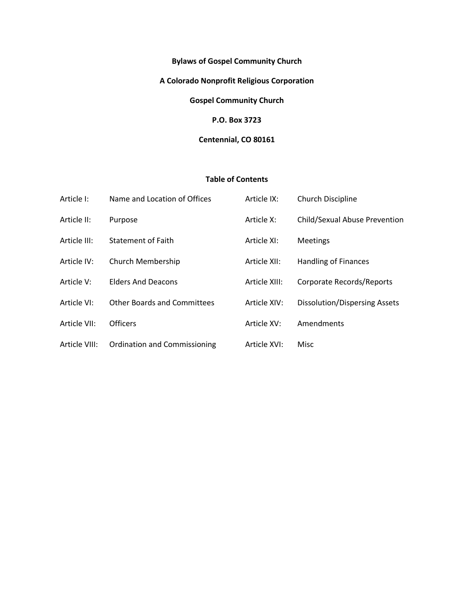# **Bylaws of Gospel Community Church**

# **A Colorado Nonprofit Religious Corporation**

**Gospel Community Church**

# **P.O. Box 3723**

#### **Centennial, CO 80161**

# **Table of Contents**

| Article I:    | Name and Location of Offices       | Article IX:   | Church Discipline             |
|---------------|------------------------------------|---------------|-------------------------------|
| Article II:   | Purpose                            | Article X:    | Child/Sexual Abuse Prevention |
| Article III:  | Statement of Faith                 | Article XI:   | <b>Meetings</b>               |
| Article IV:   | Church Membership                  | Article XII:  | <b>Handling of Finances</b>   |
| Article V:    | <b>Elders And Deacons</b>          | Article XIII: | Corporate Records/Reports     |
| Article VI:   | <b>Other Boards and Committees</b> | Article XIV:  | Dissolution/Dispersing Assets |
| Article VII:  | <b>Officers</b>                    | Article XV:   | Amendments                    |
| Article VIII: | Ordination and Commissioning       | Article XVI:  | Misc                          |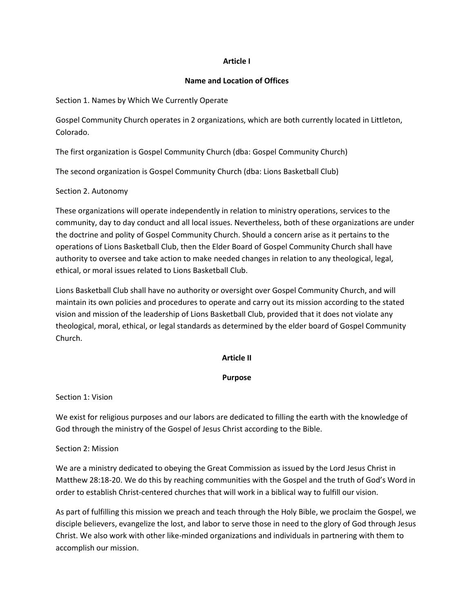#### **Article I**

#### **Name and Location of Offices**

Section 1. Names by Which We Currently Operate

Gospel Community Church operates in 2 organizations, which are both currently located in Littleton, Colorado.

The first organization is Gospel Community Church (dba: Gospel Community Church)

The second organization is Gospel Community Church (dba: Lions Basketball Club)

#### Section 2. Autonomy

These organizations will operate independently in relation to ministry operations, services to the community, day to day conduct and all local issues. Nevertheless, both of these organizations are under the doctrine and polity of Gospel Community Church. Should a concern arise as it pertains to the operations of Lions Basketball Club, then the Elder Board of Gospel Community Church shall have authority to oversee and take action to make needed changes in relation to any theological, legal, ethical, or moral issues related to Lions Basketball Club.

Lions Basketball Club shall have no authority or oversight over Gospel Community Church, and will maintain its own policies and procedures to operate and carry out its mission according to the stated vision and mission of the leadership of Lions Basketball Club, provided that it does not violate any theological, moral, ethical, or legal standards as determined by the elder board of Gospel Community Church.

#### **Article II**

#### **Purpose**

Section 1: Vision

We exist for religious purposes and our labors are dedicated to filling the earth with the knowledge of God through the ministry of the Gospel of Jesus Christ according to the Bible.

#### Section 2: Mission

We are a ministry dedicated to obeying the Great Commission as issued by the Lord Jesus Christ in Matthew 28:18-20. We do this by reaching communities with the Gospel and the truth of God's Word in order to establish Christ-centered churches that will work in a biblical way to fulfill our vision.

As part of fulfilling this mission we preach and teach through the Holy Bible, we proclaim the Gospel, we disciple believers, evangelize the lost, and labor to serve those in need to the glory of God through Jesus Christ. We also work with other like-minded organizations and individuals in partnering with them to accomplish our mission.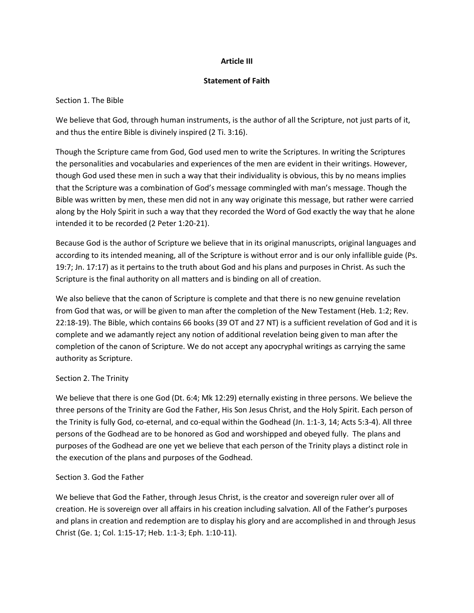#### **Article III**

#### **Statement of Faith**

### Section 1. The Bible

We believe that God, through human instruments, is the author of all the Scripture, not just parts of it, and thus the entire Bible is divinely inspired (2 Ti. 3:16).

Though the Scripture came from God, God used men to write the Scriptures. In writing the Scriptures the personalities and vocabularies and experiences of the men are evident in their writings. However, though God used these men in such a way that their individuality is obvious, this by no means implies that the Scripture was a combination of God's message commingled with man's message. Though the Bible was written by men, these men did not in any way originate this message, but rather were carried along by the Holy Spirit in such a way that they recorded the Word of God exactly the way that he alone intended it to be recorded (2 Peter 1:20-21).

Because God is the author of Scripture we believe that in its original manuscripts, original languages and according to its intended meaning, all of the Scripture is without error and is our only infallible guide (Ps. 19:7; Jn. 17:17) as it pertains to the truth about God and his plans and purposes in Christ. As such the Scripture is the final authority on all matters and is binding on all of creation.

We also believe that the canon of Scripture is complete and that there is no new genuine revelation from God that was, or will be given to man after the completion of the New Testament (Heb. 1:2; Rev. 22:18-19). The Bible, which contains 66 books (39 OT and 27 NT) is a sufficient revelation of God and it is complete and we adamantly reject any notion of additional revelation being given to man after the completion of the canon of Scripture. We do not accept any apocryphal writings as carrying the same authority as Scripture.

#### Section 2. The Trinity

We believe that there is one God (Dt. 6:4; Mk 12:29) eternally existing in three persons. We believe the three persons of the Trinity are God the Father, His Son Jesus Christ, and the Holy Spirit. Each person of the Trinity is fully God, co-eternal, and co-equal within the Godhead (Jn. 1:1-3, 14; Acts 5:3-4). All three persons of the Godhead are to be honored as God and worshipped and obeyed fully. The plans and purposes of the Godhead are one yet we believe that each person of the Trinity plays a distinct role in the execution of the plans and purposes of the Godhead.

# Section 3. God the Father

We believe that God the Father, through Jesus Christ, is the creator and sovereign ruler over all of creation. He is sovereign over all affairs in his creation including salvation. All of the Father's purposes and plans in creation and redemption are to display his glory and are accomplished in and through Jesus Christ (Ge. 1; Col. 1:15-17; Heb. 1:1-3; Eph. 1:10-11).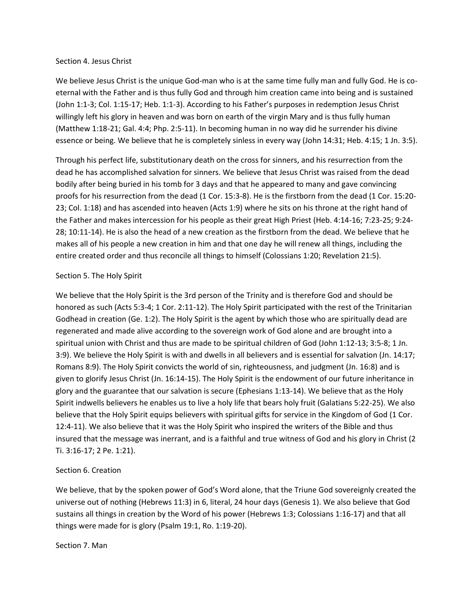#### Section 4. Jesus Christ

We believe Jesus Christ is the unique God-man who is at the same time fully man and fully God. He is coeternal with the Father and is thus fully God and through him creation came into being and is sustained (John 1:1-3; Col. 1:15-17; Heb. 1:1-3). According to his Father's purposes in redemption Jesus Christ willingly left his glory in heaven and was born on earth of the virgin Mary and is thus fully human (Matthew 1:18-21; Gal. 4:4; Php. 2:5-11). In becoming human in no way did he surrender his divine essence or being. We believe that he is completely sinless in every way (John 14:31; Heb. 4:15; 1 Jn. 3:5).

Through his perfect life, substitutionary death on the cross for sinners, and his resurrection from the dead he has accomplished salvation for sinners. We believe that Jesus Christ was raised from the dead bodily after being buried in his tomb for 3 days and that he appeared to many and gave convincing proofs for his resurrection from the dead (1 Cor. 15:3-8). He is the firstborn from the dead (1 Cor. 15:20- 23; Col. 1:18) and has ascended into heaven (Acts 1:9) where he sits on his throne at the right hand of the Father and makes intercession for his people as their great High Priest (Heb. 4:14-16; 7:23-25; 9:24- 28; 10:11-14). He is also the head of a new creation as the firstborn from the dead. We believe that he makes all of his people a new creation in him and that one day he will renew all things, including the entire created order and thus reconcile all things to himself (Colossians 1:20; Revelation 21:5).

#### Section 5. The Holy Spirit

We believe that the Holy Spirit is the 3rd person of the Trinity and is therefore God and should be honored as such (Acts 5:3-4; 1 Cor. 2:11-12). The Holy Spirit participated with the rest of the Trinitarian Godhead in creation (Ge. 1:2). The Holy Spirit is the agent by which those who are spiritually dead are regenerated and made alive according to the sovereign work of God alone and are brought into a spiritual union with Christ and thus are made to be spiritual children of God (John 1:12-13; 3:5-8; 1 Jn. 3:9). We believe the Holy Spirit is with and dwells in all believers and is essential for salvation (Jn. 14:17; Romans 8:9). The Holy Spirit convicts the world of sin, righteousness, and judgment (Jn. 16:8) and is given to glorify Jesus Christ (Jn. 16:14-15). The Holy Spirit is the endowment of our future inheritance in glory and the guarantee that our salvation is secure (Ephesians 1:13-14). We believe that as the Holy Spirit indwells believers he enables us to live a holy life that bears holy fruit (Galatians 5:22-25). We also believe that the Holy Spirit equips believers with spiritual gifts for service in the Kingdom of God (1 Cor. 12:4-11). We also believe that it was the Holy Spirit who inspired the writers of the Bible and thus insured that the message was inerrant, and is a faithful and true witness of God and his glory in Christ (2 Ti. 3:16-17; 2 Pe. 1:21).

#### Section 6. Creation

We believe, that by the spoken power of God's Word alone, that the Triune God sovereignly created the universe out of nothing (Hebrews 11:3) in 6, literal, 24 hour days (Genesis 1). We also believe that God sustains all things in creation by the Word of his power (Hebrews 1:3; Colossians 1:16-17) and that all things were made for is glory (Psalm 19:1, Ro. 1:19-20).

#### Section 7. Man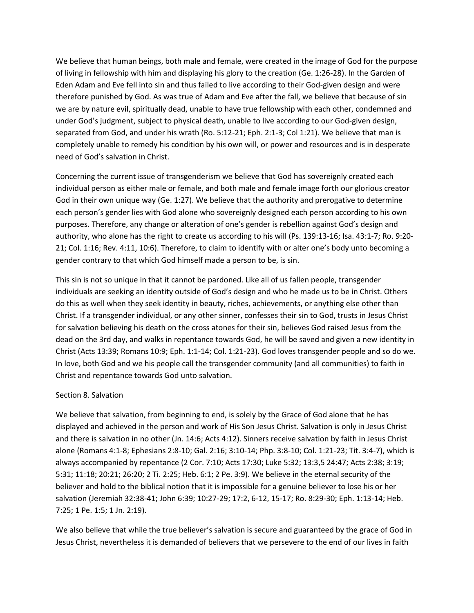We believe that human beings, both male and female, were created in the image of God for the purpose of living in fellowship with him and displaying his glory to the creation (Ge. 1:26-28). In the Garden of Eden Adam and Eve fell into sin and thus failed to live according to their God-given design and were therefore punished by God. As was true of Adam and Eve after the fall, we believe that because of sin we are by nature evil, spiritually dead, unable to have true fellowship with each other, condemned and under God's judgment, subject to physical death, unable to live according to our God-given design, separated from God, and under his wrath (Ro. 5:12-21; Eph. 2:1-3; Col 1:21). We believe that man is completely unable to remedy his condition by his own will, or power and resources and is in desperate need of God's salvation in Christ.

Concerning the current issue of transgenderism we believe that God has sovereignly created each individual person as either male or female, and both male and female image forth our glorious creator God in their own unique way (Ge. 1:27). We believe that the authority and prerogative to determine each person's gender lies with God alone who sovereignly designed each person according to his own purposes. Therefore, any change or alteration of one's gender is rebellion against God's design and authority, who alone has the right to create us according to his will (Ps. 139:13-16; Isa. 43:1-7; Ro. 9:20- 21; Col. 1:16; Rev. 4:11, 10:6). Therefore, to claim to identify with or alter one's body unto becoming a gender contrary to that which God himself made a person to be, is sin.

This sin is not so unique in that it cannot be pardoned. Like all of us fallen people, transgender individuals are seeking an identity outside of God's design and who he made us to be in Christ. Others do this as well when they seek identity in beauty, riches, achievements, or anything else other than Christ. If a transgender individual, or any other sinner, confesses their sin to God, trusts in Jesus Christ for salvation believing his death on the cross atones for their sin, believes God raised Jesus from the dead on the 3rd day, and walks in repentance towards God, he will be saved and given a new identity in Christ (Acts 13:39; Romans 10:9; Eph. 1:1-14; Col. 1:21-23). God loves transgender people and so do we. In love, both God and we his people call the transgender community (and all communities) to faith in Christ and repentance towards God unto salvation.

#### Section 8. Salvation

We believe that salvation, from beginning to end, is solely by the Grace of God alone that he has displayed and achieved in the person and work of His Son Jesus Christ. Salvation is only in Jesus Christ and there is salvation in no other (Jn. 14:6; Acts 4:12). Sinners receive salvation by faith in Jesus Christ alone (Romans 4:1-8; Ephesians 2:8-10; Gal. 2:16; 3:10-14; Php. 3:8-10; Col. 1:21-23; Tit. 3:4-7), which is always accompanied by repentance (2 Cor. 7:10; Acts 17:30; Luke 5:32; 13:3,5 24:47; Acts 2:38; 3:19; 5:31; 11:18; 20:21; 26:20; 2 Ti. 2:25; Heb. 6:1; 2 Pe. 3:9). We believe in the eternal security of the believer and hold to the biblical notion that it is impossible for a genuine believer to lose his or her salvation (Jeremiah 32:38-41; John 6:39; 10:27-29; 17:2, 6-12, 15-17; Ro. 8:29-30; Eph. 1:13-14; Heb. 7:25; 1 Pe. 1:5; 1 Jn. 2:19).

We also believe that while the true believer's salvation is secure and guaranteed by the grace of God in Jesus Christ, nevertheless it is demanded of believers that we persevere to the end of our lives in faith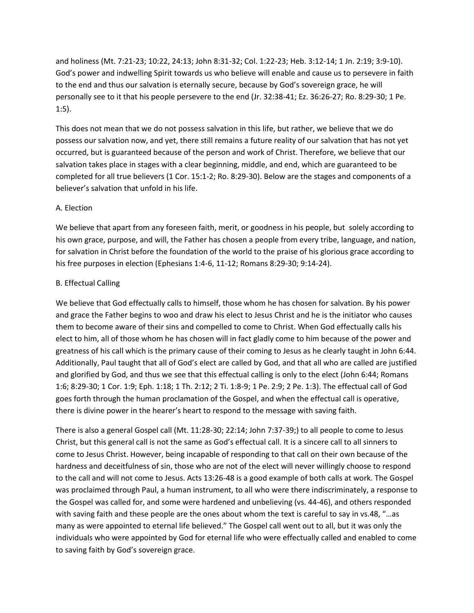and holiness (Mt. 7:21-23; 10:22, 24:13; John 8:31-32; Col. 1:22-23; Heb. 3:12-14; 1 Jn. 2:19; 3:9-10). God's power and indwelling Spirit towards us who believe will enable and cause us to persevere in faith to the end and thus our salvation is eternally secure, because by God's sovereign grace, he will personally see to it that his people persevere to the end (Jr. 32:38-41; Ez. 36:26-27; Ro. 8:29-30; 1 Pe. 1:5).

This does not mean that we do not possess salvation in this life, but rather, we believe that we do possess our salvation now, and yet, there still remains a future reality of our salvation that has not yet occurred, but is guaranteed because of the person and work of Christ. Therefore, we believe that our salvation takes place in stages with a clear beginning, middle, and end, which are guaranteed to be completed for all true believers (1 Cor. 15:1-2; Ro. 8:29-30). Below are the stages and components of a believer's salvation that unfold in his life.

#### A. Election

We believe that apart from any foreseen faith, merit, or goodness in his people, but solely according to his own grace, purpose, and will, the Father has chosen a people from every tribe, language, and nation, for salvation in Christ before the foundation of the world to the praise of his glorious grace according to his free purposes in election (Ephesians 1:4-6, 11-12; Romans 8:29-30; 9:14-24).

#### B. Effectual Calling

We believe that God effectually calls to himself, those whom he has chosen for salvation. By his power and grace the Father begins to woo and draw his elect to Jesus Christ and he is the initiator who causes them to become aware of their sins and compelled to come to Christ. When God effectually calls his elect to him, all of those whom he has chosen will in fact gladly come to him because of the power and greatness of his call which is the primary cause of their coming to Jesus as he clearly taught in John 6:44. Additionally, Paul taught that all of God's elect are called by God, and that all who are called are justified and glorified by God, and thus we see that this effectual calling is only to the elect (John 6:44; Romans 1:6; 8:29-30; 1 Cor. 1:9; Eph. 1:18; 1 Th. 2:12; 2 Ti. 1:8-9; 1 Pe. 2:9; 2 Pe. 1:3). The effectual call of God goes forth through the human proclamation of the Gospel, and when the effectual call is operative, there is divine power in the hearer's heart to respond to the message with saving faith.

There is also a general Gospel call (Mt. 11:28-30; 22:14; John 7:37-39;) to all people to come to Jesus Christ, but this general call is not the same as God's effectual call. It is a sincere call to all sinners to come to Jesus Christ. However, being incapable of responding to that call on their own because of the hardness and deceitfulness of sin, those who are not of the elect will never willingly choose to respond to the call and will not come to Jesus. Acts 13:26-48 is a good example of both calls at work. The Gospel was proclaimed through Paul, a human instrument, to all who were there indiscriminately, a response to the Gospel was called for, and some were hardened and unbelieving (vs. 44-46), and others responded with saving faith and these people are the ones about whom the text is careful to say in vs.48, "…as many as were appointed to eternal life believed." The Gospel call went out to all, but it was only the individuals who were appointed by God for eternal life who were effectually called and enabled to come to saving faith by God's sovereign grace.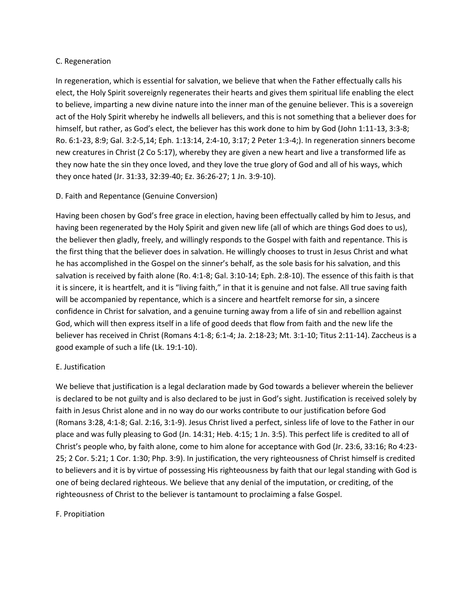#### C. Regeneration

In regeneration, which is essential for salvation, we believe that when the Father effectually calls his elect, the Holy Spirit sovereignly regenerates their hearts and gives them spiritual life enabling the elect to believe, imparting a new divine nature into the inner man of the genuine believer. This is a sovereign act of the Holy Spirit whereby he indwells all believers, and this is not something that a believer does for himself, but rather, as God's elect, the believer has this work done to him by God (John 1:11-13, 3:3-8; Ro. 6:1-23, 8:9; Gal. 3:2-5,14; Eph. 1:13:14, 2:4-10, 3:17; 2 Peter 1:3-4;). In regeneration sinners become new creatures in Christ (2 Co 5:17), whereby they are given a new heart and live a transformed life as they now hate the sin they once loved, and they love the true glory of God and all of his ways, which they once hated (Jr. 31:33, 32:39-40; Ez. 36:26-27; 1 Jn. 3:9-10).

# D. Faith and Repentance (Genuine Conversion)

Having been chosen by God's free grace in election, having been effectually called by him to Jesus, and having been regenerated by the Holy Spirit and given new life (all of which are things God does to us), the believer then gladly, freely, and willingly responds to the Gospel with faith and repentance. This is the first thing that the believer does in salvation. He willingly chooses to trust in Jesus Christ and what he has accomplished in the Gospel on the sinner's behalf, as the sole basis for his salvation, and this salvation is received by faith alone (Ro. 4:1-8; Gal. 3:10-14; Eph. 2:8-10). The essence of this faith is that it is sincere, it is heartfelt, and it is "living faith," in that it is genuine and not false. All true saving faith will be accompanied by repentance, which is a sincere and heartfelt remorse for sin, a sincere confidence in Christ for salvation, and a genuine turning away from a life of sin and rebellion against God, which will then express itself in a life of good deeds that flow from faith and the new life the believer has received in Christ (Romans 4:1-8; 6:1-4; Ja. 2:18-23; Mt. 3:1-10; Titus 2:11-14). Zaccheus is a good example of such a life (Lk. 19:1-10).

#### E. Justification

We believe that justification is a legal declaration made by God towards a believer wherein the believer is declared to be not guilty and is also declared to be just in God's sight. Justification is received solely by faith in Jesus Christ alone and in no way do our works contribute to our justification before God (Romans 3:28, 4:1-8; Gal. 2:16, 3:1-9). Jesus Christ lived a perfect, sinless life of love to the Father in our place and was fully pleasing to God (Jn. 14:31; Heb. 4:15; 1 Jn. 3:5). This perfect life is credited to all of Christ's people who, by faith alone, come to him alone for acceptance with God (Jr. 23:6, 33:16; Ro 4:23- 25; 2 Cor. 5:21; 1 Cor. 1:30; Php. 3:9). In justification, the very righteousness of Christ himself is credited to believers and it is by virtue of possessing His righteousness by faith that our legal standing with God is one of being declared righteous. We believe that any denial of the imputation, or crediting, of the righteousness of Christ to the believer is tantamount to proclaiming a false Gospel.

#### F. Propitiation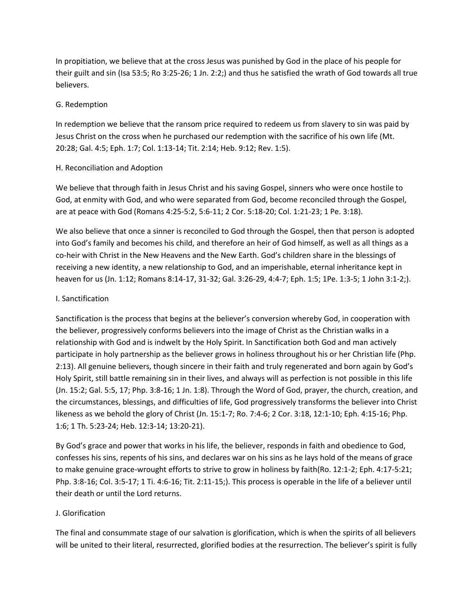In propitiation, we believe that at the cross Jesus was punished by God in the place of his people for their guilt and sin (Isa 53:5; Ro 3:25-26; 1 Jn. 2:2;) and thus he satisfied the wrath of God towards all true believers.

#### G. Redemption

In redemption we believe that the ransom price required to redeem us from slavery to sin was paid by Jesus Christ on the cross when he purchased our redemption with the sacrifice of his own life (Mt. 20:28; Gal. 4:5; Eph. 1:7; Col. 1:13-14; Tit. 2:14; Heb. 9:12; Rev. 1:5).

### H. Reconciliation and Adoption

We believe that through faith in Jesus Christ and his saving Gospel, sinners who were once hostile to God, at enmity with God, and who were separated from God, become reconciled through the Gospel, are at peace with God (Romans 4:25-5:2, 5:6-11; 2 Cor. 5:18-20; Col. 1:21-23; 1 Pe. 3:18).

We also believe that once a sinner is reconciled to God through the Gospel, then that person is adopted into God's family and becomes his child, and therefore an heir of God himself, as well as all things as a co-heir with Christ in the New Heavens and the New Earth. God's children share in the blessings of receiving a new identity, a new relationship to God, and an imperishable, eternal inheritance kept in heaven for us (Jn. 1:12; Romans 8:14-17, 31-32; Gal. 3:26-29, 4:4-7; Eph. 1:5; 1Pe. 1:3-5; 1 John 3:1-2;).

### I. Sanctification

Sanctification is the process that begins at the believer's conversion whereby God, in cooperation with the believer, progressively conforms believers into the image of Christ as the Christian walks in a relationship with God and is indwelt by the Holy Spirit. In Sanctification both God and man actively participate in holy partnership as the believer grows in holiness throughout his or her Christian life (Php. 2:13). All genuine believers, though sincere in their faith and truly regenerated and born again by God's Holy Spirit, still battle remaining sin in their lives, and always will as perfection is not possible in this life (Jn. 15:2; Gal. 5:5, 17; Php. 3:8-16; 1 Jn. 1:8). Through the Word of God, prayer, the church, creation, and the circumstances, blessings, and difficulties of life, God progressively transforms the believer into Christ likeness as we behold the glory of Christ (Jn. 15:1-7; Ro. 7:4-6; 2 Cor. 3:18, 12:1-10; Eph. 4:15-16; Php. 1:6; 1 Th. 5:23-24; Heb. 12:3-14; 13:20-21).

By God's grace and power that works in his life, the believer, responds in faith and obedience to God, confesses his sins, repents of his sins, and declares war on his sins as he lays hold of the means of grace to make genuine grace-wrought efforts to strive to grow in holiness by faith(Ro. 12:1-2; Eph. 4:17-5:21; Php. 3:8-16; Col. 3:5-17; 1 Ti. 4:6-16; Tit. 2:11-15;). This process is operable in the life of a believer until their death or until the Lord returns.

#### J. Glorification

The final and consummate stage of our salvation is glorification, which is when the spirits of all believers will be united to their literal, resurrected, glorified bodies at the resurrection. The believer's spirit is fully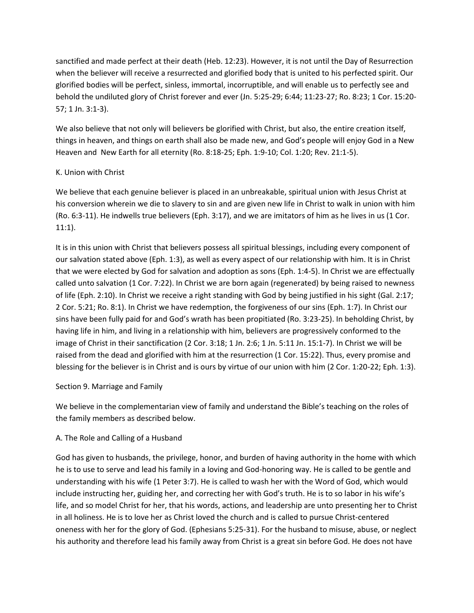sanctified and made perfect at their death (Heb. 12:23). However, it is not until the Day of Resurrection when the believer will receive a resurrected and glorified body that is united to his perfected spirit. Our glorified bodies will be perfect, sinless, immortal, incorruptible, and will enable us to perfectly see and behold the undiluted glory of Christ forever and ever (Jn. 5:25-29; 6:44; 11:23-27; Ro. 8:23; 1 Cor. 15:20- 57; 1 Jn. 3:1-3).

We also believe that not only will believers be glorified with Christ, but also, the entire creation itself, things in heaven, and things on earth shall also be made new, and God's people will enjoy God in a New Heaven and New Earth for all eternity (Ro. 8:18-25; Eph. 1:9-10; Col. 1:20; Rev. 21:1-5).

#### K. Union with Christ

We believe that each genuine believer is placed in an unbreakable, spiritual union with Jesus Christ at his conversion wherein we die to slavery to sin and are given new life in Christ to walk in union with him (Ro. 6:3-11). He indwells true believers (Eph. 3:17), and we are imitators of him as he lives in us (1 Cor. 11:1).

It is in this union with Christ that believers possess all spiritual blessings, including every component of our salvation stated above (Eph. 1:3), as well as every aspect of our relationship with him. It is in Christ that we were elected by God for salvation and adoption as sons (Eph. 1:4-5). In Christ we are effectually called unto salvation (1 Cor. 7:22). In Christ we are born again (regenerated) by being raised to newness of life (Eph. 2:10). In Christ we receive a right standing with God by being justified in his sight (Gal. 2:17; 2 Cor. 5:21; Ro. 8:1). In Christ we have redemption, the forgiveness of our sins (Eph. 1:7). In Christ our sins have been fully paid for and God's wrath has been propitiated (Ro. 3:23-25). In beholding Christ, by having life in him, and living in a relationship with him, believers are progressively conformed to the image of Christ in their sanctification (2 Cor. 3:18; 1 Jn. 2:6; 1 Jn. 5:11 Jn. 15:1-7). In Christ we will be raised from the dead and glorified with him at the resurrection (1 Cor. 15:22). Thus, every promise and blessing for the believer is in Christ and is ours by virtue of our union with him (2 Cor. 1:20-22; Eph. 1:3).

#### Section 9. Marriage and Family

We believe in the complementarian view of family and understand the Bible's teaching on the roles of the family members as described below.

# A. The Role and Calling of a Husband

God has given to husbands, the privilege, honor, and burden of having authority in the home with which he is to use to serve and lead his family in a loving and God-honoring way. He is called to be gentle and understanding with his wife (1 Peter 3:7). He is called to wash her with the Word of God, which would include instructing her, guiding her, and correcting her with God's truth. He is to so labor in his wife's life, and so model Christ for her, that his words, actions, and leadership are unto presenting her to Christ in all holiness. He is to love her as Christ loved the church and is called to pursue Christ-centered oneness with her for the glory of God. (Ephesians 5:25-31). For the husband to misuse, abuse, or neglect his authority and therefore lead his family away from Christ is a great sin before God. He does not have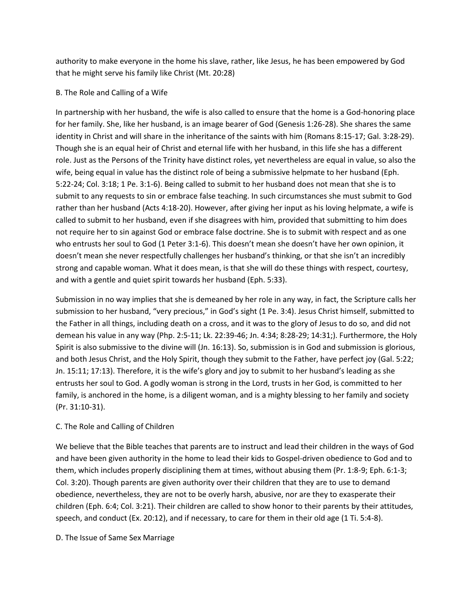authority to make everyone in the home his slave, rather, like Jesus, he has been empowered by God that he might serve his family like Christ (Mt. 20:28)

### B. The Role and Calling of a Wife

In partnership with her husband, the wife is also called to ensure that the home is a God-honoring place for her family. She, like her husband, is an image bearer of God (Genesis 1:26-28). She shares the same identity in Christ and will share in the inheritance of the saints with him (Romans 8:15-17; Gal. 3:28-29). Though she is an equal heir of Christ and eternal life with her husband, in this life she has a different role. Just as the Persons of the Trinity have distinct roles, yet nevertheless are equal in value, so also the wife, being equal in value has the distinct role of being a submissive helpmate to her husband (Eph. 5:22-24; Col. 3:18; 1 Pe. 3:1-6). Being called to submit to her husband does not mean that she is to submit to any requests to sin or embrace false teaching. In such circumstances she must submit to God rather than her husband (Acts 4:18-20). However, after giving her input as his loving helpmate, a wife is called to submit to her husband, even if she disagrees with him, provided that submitting to him does not require her to sin against God or embrace false doctrine. She is to submit with respect and as one who entrusts her soul to God (1 Peter 3:1-6). This doesn't mean she doesn't have her own opinion, it doesn't mean she never respectfully challenges her husband's thinking, or that she isn't an incredibly strong and capable woman. What it does mean, is that she will do these things with respect, courtesy, and with a gentle and quiet spirit towards her husband (Eph. 5:33).

Submission in no way implies that she is demeaned by her role in any way, in fact, the Scripture calls her submission to her husband, "very precious," in God's sight (1 Pe. 3:4). Jesus Christ himself, submitted to the Father in all things, including death on a cross, and it was to the glory of Jesus to do so, and did not demean his value in any way (Php. 2:5-11; Lk. 22:39-46; Jn. 4:34; 8:28-29; 14:31;). Furthermore, the Holy Spirit is also submissive to the divine will (Jn. 16:13). So, submission is in God and submission is glorious, and both Jesus Christ, and the Holy Spirit, though they submit to the Father, have perfect joy (Gal. 5:22; Jn. 15:11; 17:13). Therefore, it is the wife's glory and joy to submit to her husband's leading as she entrusts her soul to God. A godly woman is strong in the Lord, trusts in her God, is committed to her family, is anchored in the home, is a diligent woman, and is a mighty blessing to her family and society (Pr. 31:10-31).

# C. The Role and Calling of Children

We believe that the Bible teaches that parents are to instruct and lead their children in the ways of God and have been given authority in the home to lead their kids to Gospel-driven obedience to God and to them, which includes properly disciplining them at times, without abusing them (Pr. 1:8-9; Eph. 6:1-3; Col. 3:20). Though parents are given authority over their children that they are to use to demand obedience, nevertheless, they are not to be overly harsh, abusive, nor are they to exasperate their children (Eph. 6:4; Col. 3:21). Their children are called to show honor to their parents by their attitudes, speech, and conduct (Ex. 20:12), and if necessary, to care for them in their old age (1 Ti. 5:4-8).

#### D. The Issue of Same Sex Marriage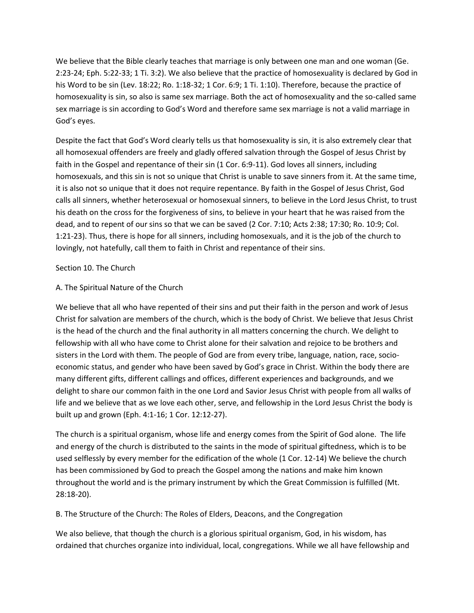We believe that the Bible clearly teaches that marriage is only between one man and one woman (Ge. 2:23-24; Eph. 5:22-33; 1 Ti. 3:2). We also believe that the practice of homosexuality is declared by God in his Word to be sin (Lev. 18:22; Ro. 1:18-32; 1 Cor. 6:9; 1 Ti. 1:10). Therefore, because the practice of homosexuality is sin, so also is same sex marriage. Both the act of homosexuality and the so-called same sex marriage is sin according to God's Word and therefore same sex marriage is not a valid marriage in God's eyes.

Despite the fact that God's Word clearly tells us that homosexuality is sin, it is also extremely clear that all homosexual offenders are freely and gladly offered salvation through the Gospel of Jesus Christ by faith in the Gospel and repentance of their sin (1 Cor. 6:9-11). God loves all sinners, including homosexuals, and this sin is not so unique that Christ is unable to save sinners from it. At the same time, it is also not so unique that it does not require repentance. By faith in the Gospel of Jesus Christ, God calls all sinners, whether heterosexual or homosexual sinners, to believe in the Lord Jesus Christ, to trust his death on the cross for the forgiveness of sins, to believe in your heart that he was raised from the dead, and to repent of our sins so that we can be saved (2 Cor. 7:10; Acts 2:38; 17:30; Ro. 10:9; Col. 1:21-23). Thus, there is hope for all sinners, including homosexuals, and it is the job of the church to lovingly, not hatefully, call them to faith in Christ and repentance of their sins.

#### Section 10. The Church

#### A. The Spiritual Nature of the Church

We believe that all who have repented of their sins and put their faith in the person and work of Jesus Christ for salvation are members of the church, which is the body of Christ. We believe that Jesus Christ is the head of the church and the final authority in all matters concerning the church. We delight to fellowship with all who have come to Christ alone for their salvation and rejoice to be brothers and sisters in the Lord with them. The people of God are from every tribe, language, nation, race, socioeconomic status, and gender who have been saved by God's grace in Christ. Within the body there are many different gifts, different callings and offices, different experiences and backgrounds, and we delight to share our common faith in the one Lord and Savior Jesus Christ with people from all walks of life and we believe that as we love each other, serve, and fellowship in the Lord Jesus Christ the body is built up and grown (Eph. 4:1-16; 1 Cor. 12:12-27).

The church is a spiritual organism, whose life and energy comes from the Spirit of God alone. The life and energy of the church is distributed to the saints in the mode of spiritual giftedness, which is to be used selflessly by every member for the edification of the whole (1 Cor. 12-14) We believe the church has been commissioned by God to preach the Gospel among the nations and make him known throughout the world and is the primary instrument by which the Great Commission is fulfilled (Mt. 28:18-20).

B. The Structure of the Church: The Roles of Elders, Deacons, and the Congregation

We also believe, that though the church is a glorious spiritual organism, God, in his wisdom, has ordained that churches organize into individual, local, congregations. While we all have fellowship and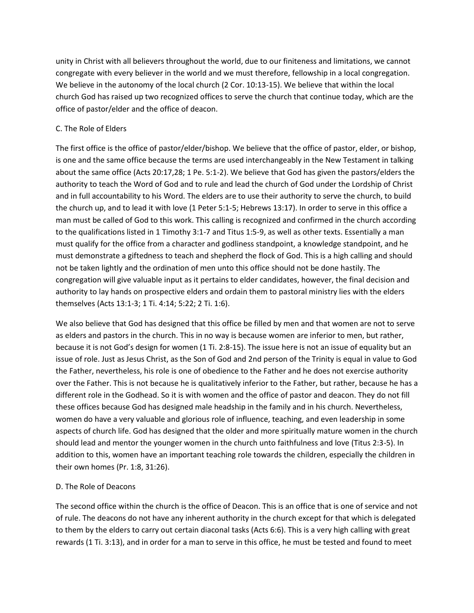unity in Christ with all believers throughout the world, due to our finiteness and limitations, we cannot congregate with every believer in the world and we must therefore, fellowship in a local congregation. We believe in the autonomy of the local church (2 Cor. 10:13-15). We believe that within the local church God has raised up two recognized offices to serve the church that continue today, which are the office of pastor/elder and the office of deacon.

### C. The Role of Elders

The first office is the office of pastor/elder/bishop. We believe that the office of pastor, elder, or bishop, is one and the same office because the terms are used interchangeably in the New Testament in talking about the same office (Acts 20:17,28; 1 Pe. 5:1-2). We believe that God has given the pastors/elders the authority to teach the Word of God and to rule and lead the church of God under the Lordship of Christ and in full accountability to his Word. The elders are to use their authority to serve the church, to build the church up, and to lead it with love (1 Peter 5:1-5; Hebrews 13:17). In order to serve in this office a man must be called of God to this work. This calling is recognized and confirmed in the church according to the qualifications listed in 1 Timothy 3:1-7 and Titus 1:5-9, as well as other texts. Essentially a man must qualify for the office from a character and godliness standpoint, a knowledge standpoint, and he must demonstrate a giftedness to teach and shepherd the flock of God. This is a high calling and should not be taken lightly and the ordination of men unto this office should not be done hastily. The congregation will give valuable input as it pertains to elder candidates, however, the final decision and authority to lay hands on prospective elders and ordain them to pastoral ministry lies with the elders themselves (Acts 13:1-3; 1 Ti. 4:14; 5:22; 2 Ti. 1:6).

We also believe that God has designed that this office be filled by men and that women are not to serve as elders and pastors in the church. This in no way is because women are inferior to men, but rather, because it is not God's design for women (1 Ti. 2:8-15). The issue here is not an issue of equality but an issue of role. Just as Jesus Christ, as the Son of God and 2nd person of the Trinity is equal in value to God the Father, nevertheless, his role is one of obedience to the Father and he does not exercise authority over the Father. This is not because he is qualitatively inferior to the Father, but rather, because he has a different role in the Godhead. So it is with women and the office of pastor and deacon. They do not fill these offices because God has designed male headship in the family and in his church. Nevertheless, women do have a very valuable and glorious role of influence, teaching, and even leadership in some aspects of church life. God has designed that the older and more spiritually mature women in the church should lead and mentor the younger women in the church unto faithfulness and love (Titus 2:3-5). In addition to this, women have an important teaching role towards the children, especially the children in their own homes (Pr. 1:8, 31:26).

#### D. The Role of Deacons

The second office within the church is the office of Deacon. This is an office that is one of service and not of rule. The deacons do not have any inherent authority in the church except for that which is delegated to them by the elders to carry out certain diaconal tasks (Acts 6:6). This is a very high calling with great rewards (1 Ti. 3:13), and in order for a man to serve in this office, he must be tested and found to meet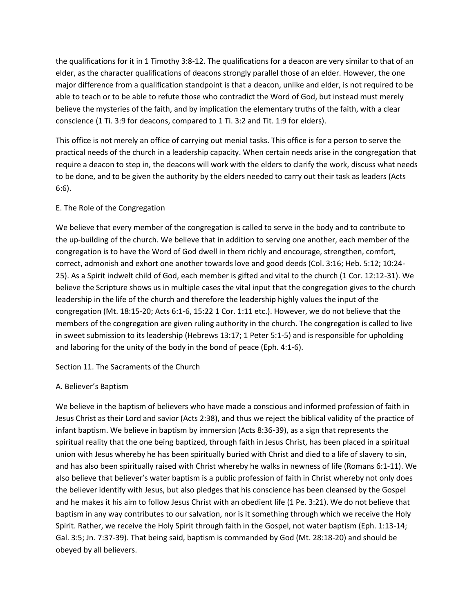the qualifications for it in 1 Timothy 3:8-12. The qualifications for a deacon are very similar to that of an elder, as the character qualifications of deacons strongly parallel those of an elder. However, the one major difference from a qualification standpoint is that a deacon, unlike and elder, is not required to be able to teach or to be able to refute those who contradict the Word of God, but instead must merely believe the mysteries of the faith, and by implication the elementary truths of the faith, with a clear conscience (1 Ti. 3:9 for deacons, compared to 1 Ti. 3:2 and Tit. 1:9 for elders).

This office is not merely an office of carrying out menial tasks. This office is for a person to serve the practical needs of the church in a leadership capacity. When certain needs arise in the congregation that require a deacon to step in, the deacons will work with the elders to clarify the work, discuss what needs to be done, and to be given the authority by the elders needed to carry out their task as leaders (Acts 6:6).

#### E. The Role of the Congregation

We believe that every member of the congregation is called to serve in the body and to contribute to the up-building of the church. We believe that in addition to serving one another, each member of the congregation is to have the Word of God dwell in them richly and encourage, strengthen, comfort, correct, admonish and exhort one another towards love and good deeds (Col. 3:16; Heb. 5:12; 10:24- 25). As a Spirit indwelt child of God, each member is gifted and vital to the church (1 Cor. 12:12-31). We believe the Scripture shows us in multiple cases the vital input that the congregation gives to the church leadership in the life of the church and therefore the leadership highly values the input of the congregation (Mt. 18:15-20; Acts 6:1-6, 15:22 1 Cor. 1:11 etc.). However, we do not believe that the members of the congregation are given ruling authority in the church. The congregation is called to live in sweet submission to its leadership (Hebrews 13:17; 1 Peter 5:1-5) and is responsible for upholding and laboring for the unity of the body in the bond of peace (Eph. 4:1-6).

Section 11. The Sacraments of the Church

#### A. Believer's Baptism

We believe in the baptism of believers who have made a conscious and informed profession of faith in Jesus Christ as their Lord and savior (Acts 2:38), and thus we reject the biblical validity of the practice of infant baptism. We believe in baptism by immersion (Acts 8:36-39), as a sign that represents the spiritual reality that the one being baptized, through faith in Jesus Christ, has been placed in a spiritual union with Jesus whereby he has been spiritually buried with Christ and died to a life of slavery to sin, and has also been spiritually raised with Christ whereby he walks in newness of life (Romans 6:1-11). We also believe that believer's water baptism is a public profession of faith in Christ whereby not only does the believer identify with Jesus, but also pledges that his conscience has been cleansed by the Gospel and he makes it his aim to follow Jesus Christ with an obedient life (1 Pe. 3:21). We do not believe that baptism in any way contributes to our salvation, nor is it something through which we receive the Holy Spirit. Rather, we receive the Holy Spirit through faith in the Gospel, not water baptism (Eph. 1:13-14; Gal. 3:5; Jn. 7:37-39). That being said, baptism is commanded by God (Mt. 28:18-20) and should be obeyed by all believers.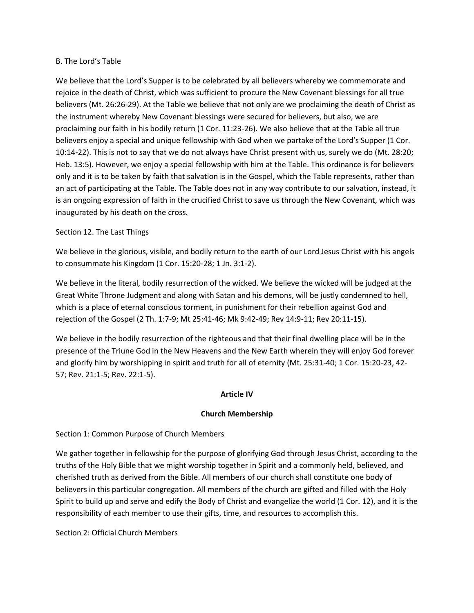#### B. The Lord's Table

We believe that the Lord's Supper is to be celebrated by all believers whereby we commemorate and rejoice in the death of Christ, which was sufficient to procure the New Covenant blessings for all true believers (Mt. 26:26-29). At the Table we believe that not only are we proclaiming the death of Christ as the instrument whereby New Covenant blessings were secured for believers, but also, we are proclaiming our faith in his bodily return (1 Cor. 11:23-26). We also believe that at the Table all true believers enjoy a special and unique fellowship with God when we partake of the Lord's Supper (1 Cor. 10:14-22). This is not to say that we do not always have Christ present with us, surely we do (Mt. 28:20; Heb. 13:5). However, we enjoy a special fellowship with him at the Table. This ordinance is for believers only and it is to be taken by faith that salvation is in the Gospel, which the Table represents, rather than an act of participating at the Table. The Table does not in any way contribute to our salvation, instead, it is an ongoing expression of faith in the crucified Christ to save us through the New Covenant, which was inaugurated by his death on the cross.

#### Section 12. The Last Things

We believe in the glorious, visible, and bodily return to the earth of our Lord Jesus Christ with his angels to consummate his Kingdom (1 Cor. 15:20-28; 1 Jn. 3:1-2).

We believe in the literal, bodily resurrection of the wicked. We believe the wicked will be judged at the Great White Throne Judgment and along with Satan and his demons, will be justly condemned to hell, which is a place of eternal conscious torment, in punishment for their rebellion against God and rejection of the Gospel (2 Th. 1:7-9; Mt 25:41-46; Mk 9:42-49; Rev 14:9-11; Rev 20:11-15).

We believe in the bodily resurrection of the righteous and that their final dwelling place will be in the presence of the Triune God in the New Heavens and the New Earth wherein they will enjoy God forever and glorify him by worshipping in spirit and truth for all of eternity (Mt. 25:31-40; 1 Cor. 15:20-23, 42- 57; Rev. 21:1-5; Rev. 22:1-5).

#### **Article IV**

#### **Church Membership**

#### Section 1: Common Purpose of Church Members

We gather together in fellowship for the purpose of glorifying God through Jesus Christ, according to the truths of the Holy Bible that we might worship together in Spirit and a commonly held, believed, and cherished truth as derived from the Bible. All members of our church shall constitute one body of believers in this particular congregation. All members of the church are gifted and filled with the Holy Spirit to build up and serve and edify the Body of Christ and evangelize the world (1 Cor. 12), and it is the responsibility of each member to use their gifts, time, and resources to accomplish this.

Section 2: Official Church Members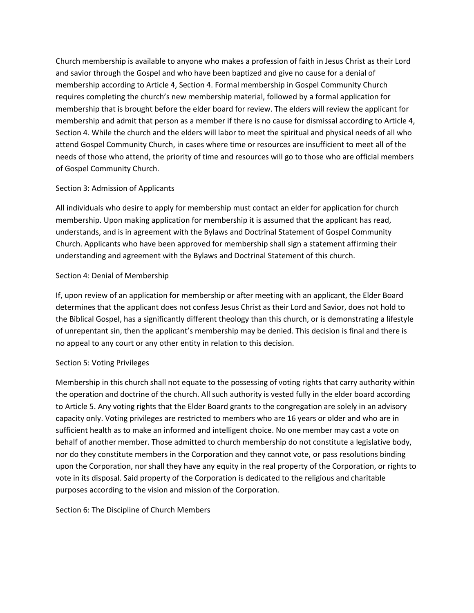Church membership is available to anyone who makes a profession of faith in Jesus Christ as their Lord and savior through the Gospel and who have been baptized and give no cause for a denial of membership according to Article 4, Section 4. Formal membership in Gospel Community Church requires completing the church's new membership material, followed by a formal application for membership that is brought before the elder board for review. The elders will review the applicant for membership and admit that person as a member if there is no cause for dismissal according to Article 4, Section 4. While the church and the elders will labor to meet the spiritual and physical needs of all who attend Gospel Community Church, in cases where time or resources are insufficient to meet all of the needs of those who attend, the priority of time and resources will go to those who are official members of Gospel Community Church.

#### Section 3: Admission of Applicants

All individuals who desire to apply for membership must contact an elder for application for church membership. Upon making application for membership it is assumed that the applicant has read, understands, and is in agreement with the Bylaws and Doctrinal Statement of Gospel Community Church. Applicants who have been approved for membership shall sign a statement affirming their understanding and agreement with the Bylaws and Doctrinal Statement of this church.

#### Section 4: Denial of Membership

If, upon review of an application for membership or after meeting with an applicant, the Elder Board determines that the applicant does not confess Jesus Christ as their Lord and Savior, does not hold to the Biblical Gospel, has a significantly different theology than this church, or is demonstrating a lifestyle of unrepentant sin, then the applicant's membership may be denied. This decision is final and there is no appeal to any court or any other entity in relation to this decision.

#### Section 5: Voting Privileges

Membership in this church shall not equate to the possessing of voting rights that carry authority within the operation and doctrine of the church. All such authority is vested fully in the elder board according to Article 5. Any voting rights that the Elder Board grants to the congregation are solely in an advisory capacity only. Voting privileges are restricted to members who are 16 years or older and who are in sufficient health as to make an informed and intelligent choice. No one member may cast a vote on behalf of another member. Those admitted to church membership do not constitute a legislative body, nor do they constitute members in the Corporation and they cannot vote, or pass resolutions binding upon the Corporation, nor shall they have any equity in the real property of the Corporation, or rights to vote in its disposal. Said property of the Corporation is dedicated to the religious and charitable purposes according to the vision and mission of the Corporation.

#### Section 6: The Discipline of Church Members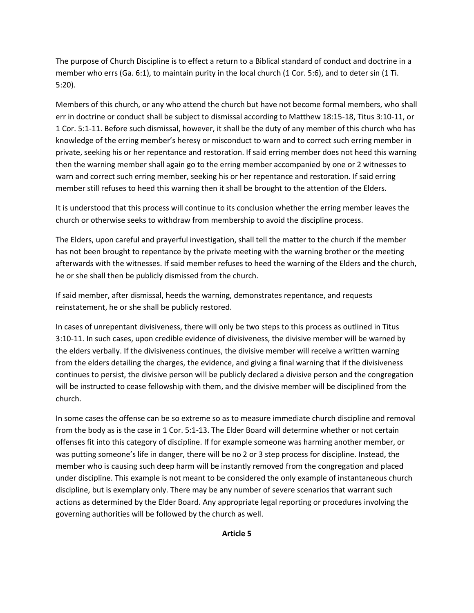The purpose of Church Discipline is to effect a return to a Biblical standard of conduct and doctrine in a member who errs (Ga. 6:1), to maintain purity in the local church (1 Cor. 5:6), and to deter sin (1 Ti. 5:20).

Members of this church, or any who attend the church but have not become formal members, who shall err in doctrine or conduct shall be subject to dismissal according to Matthew 18:15-18, Titus 3:10-11, or 1 Cor. 5:1-11. Before such dismissal, however, it shall be the duty of any member of this church who has knowledge of the erring member's heresy or misconduct to warn and to correct such erring member in private, seeking his or her repentance and restoration. If said erring member does not heed this warning then the warning member shall again go to the erring member accompanied by one or 2 witnesses to warn and correct such erring member, seeking his or her repentance and restoration. If said erring member still refuses to heed this warning then it shall be brought to the attention of the Elders.

It is understood that this process will continue to its conclusion whether the erring member leaves the church or otherwise seeks to withdraw from membership to avoid the discipline process.

The Elders, upon careful and prayerful investigation, shall tell the matter to the church if the member has not been brought to repentance by the private meeting with the warning brother or the meeting afterwards with the witnesses. If said member refuses to heed the warning of the Elders and the church, he or she shall then be publicly dismissed from the church.

If said member, after dismissal, heeds the warning, demonstrates repentance, and requests reinstatement, he or she shall be publicly restored.

In cases of unrepentant divisiveness, there will only be two steps to this process as outlined in Titus 3:10-11. In such cases, upon credible evidence of divisiveness, the divisive member will be warned by the elders verbally. If the divisiveness continues, the divisive member will receive a written warning from the elders detailing the charges, the evidence, and giving a final warning that if the divisiveness continues to persist, the divisive person will be publicly declared a divisive person and the congregation will be instructed to cease fellowship with them, and the divisive member will be disciplined from the church.

In some cases the offense can be so extreme so as to measure immediate church discipline and removal from the body as is the case in 1 Cor. 5:1-13. The Elder Board will determine whether or not certain offenses fit into this category of discipline. If for example someone was harming another member, or was putting someone's life in danger, there will be no 2 or 3 step process for discipline. Instead, the member who is causing such deep harm will be instantly removed from the congregation and placed under discipline. This example is not meant to be considered the only example of instantaneous church discipline, but is exemplary only. There may be any number of severe scenarios that warrant such actions as determined by the Elder Board. Any appropriate legal reporting or procedures involving the governing authorities will be followed by the church as well.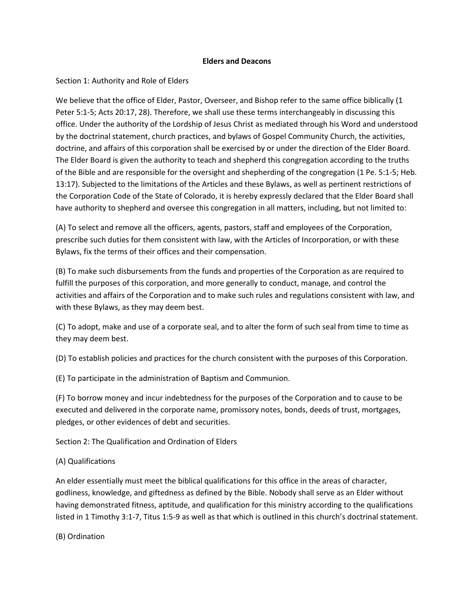#### **Elders and Deacons**

### Section 1: Authority and Role of Elders

We believe that the office of Elder, Pastor, Overseer, and Bishop refer to the same office biblically (1 Peter 5:1-5; Acts 20:17, 28). Therefore, we shall use these terms interchangeably in discussing this office. Under the authority of the Lordship of Jesus Christ as mediated through his Word and understood by the doctrinal statement, church practices, and bylaws of Gospel Community Church, the activities, doctrine, and affairs of this corporation shall be exercised by or under the direction of the Elder Board. The Elder Board is given the authority to teach and shepherd this congregation according to the truths of the Bible and are responsible for the oversight and shepherding of the congregation (1 Pe. 5:1-5; Heb. 13:17). Subjected to the limitations of the Articles and these Bylaws, as well as pertinent restrictions of the Corporation Code of the State of Colorado, it is hereby expressly declared that the Elder Board shall have authority to shepherd and oversee this congregation in all matters, including, but not limited to:

(A) To select and remove all the officers, agents, pastors, staff and employees of the Corporation, prescribe such duties for them consistent with law, with the Articles of Incorporation, or with these Bylaws, fix the terms of their offices and their compensation.

(B) To make such disbursements from the funds and properties of the Corporation as are required to fulfill the purposes of this corporation, and more generally to conduct, manage, and control the activities and affairs of the Corporation and to make such rules and regulations consistent with law, and with these Bylaws, as they may deem best.

(C) To adopt, make and use of a corporate seal, and to alter the form of such seal from time to time as they may deem best.

(D) To establish policies and practices for the church consistent with the purposes of this Corporation.

(E) To participate in the administration of Baptism and Communion.

(F) To borrow money and incur indebtedness for the purposes of the Corporation and to cause to be executed and delivered in the corporate name, promissory notes, bonds, deeds of trust, mortgages, pledges, or other evidences of debt and securities.

Section 2: The Qualification and Ordination of Elders

#### (A) Qualifications

An elder essentially must meet the biblical qualifications for this office in the areas of character, godliness, knowledge, and giftedness as defined by the Bible. Nobody shall serve as an Elder without having demonstrated fitness, aptitude, and qualification for this ministry according to the qualifications listed in 1 Timothy 3:1-7, Titus 1:5-9 as well as that which is outlined in this church's doctrinal statement.

(B) Ordination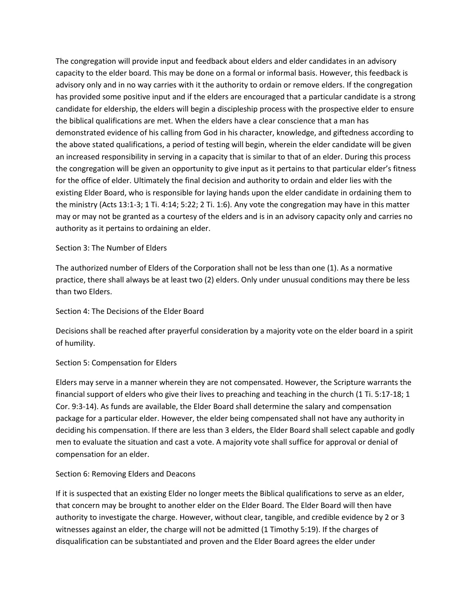The congregation will provide input and feedback about elders and elder candidates in an advisory capacity to the elder board. This may be done on a formal or informal basis. However, this feedback is advisory only and in no way carries with it the authority to ordain or remove elders. If the congregation has provided some positive input and if the elders are encouraged that a particular candidate is a strong candidate for eldership, the elders will begin a discipleship process with the prospective elder to ensure the biblical qualifications are met. When the elders have a clear conscience that a man has demonstrated evidence of his calling from God in his character, knowledge, and giftedness according to the above stated qualifications, a period of testing will begin, wherein the elder candidate will be given an increased responsibility in serving in a capacity that is similar to that of an elder. During this process the congregation will be given an opportunity to give input as it pertains to that particular elder's fitness for the office of elder. Ultimately the final decision and authority to ordain and elder lies with the existing Elder Board, who is responsible for laying hands upon the elder candidate in ordaining them to the ministry (Acts 13:1-3; 1 Ti. 4:14; 5:22; 2 Ti. 1:6). Any vote the congregation may have in this matter may or may not be granted as a courtesy of the elders and is in an advisory capacity only and carries no authority as it pertains to ordaining an elder.

#### Section 3: The Number of Elders

The authorized number of Elders of the Corporation shall not be less than one (1). As a normative practice, there shall always be at least two (2) elders. Only under unusual conditions may there be less than two Elders.

#### Section 4: The Decisions of the Elder Board

Decisions shall be reached after prayerful consideration by a majority vote on the elder board in a spirit of humility.

#### Section 5: Compensation for Elders

Elders may serve in a manner wherein they are not compensated. However, the Scripture warrants the financial support of elders who give their lives to preaching and teaching in the church (1 Ti. 5:17-18; 1 Cor. 9:3-14). As funds are available, the Elder Board shall determine the salary and compensation package for a particular elder. However, the elder being compensated shall not have any authority in deciding his compensation. If there are less than 3 elders, the Elder Board shall select capable and godly men to evaluate the situation and cast a vote. A majority vote shall suffice for approval or denial of compensation for an elder.

#### Section 6: Removing Elders and Deacons

If it is suspected that an existing Elder no longer meets the Biblical qualifications to serve as an elder, that concern may be brought to another elder on the Elder Board. The Elder Board will then have authority to investigate the charge. However, without clear, tangible, and credible evidence by 2 or 3 witnesses against an elder, the charge will not be admitted (1 Timothy 5:19). If the charges of disqualification can be substantiated and proven and the Elder Board agrees the elder under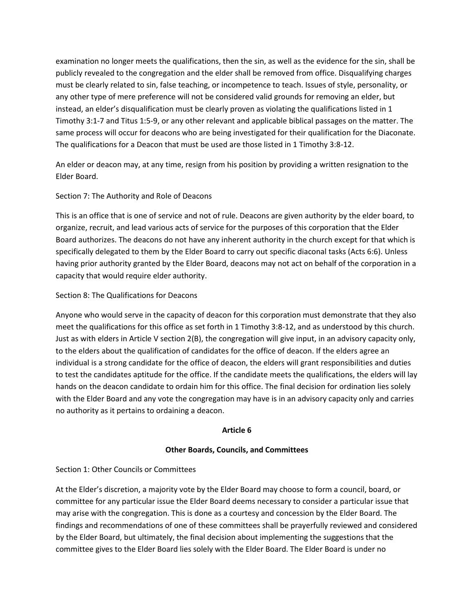examination no longer meets the qualifications, then the sin, as well as the evidence for the sin, shall be publicly revealed to the congregation and the elder shall be removed from office. Disqualifying charges must be clearly related to sin, false teaching, or incompetence to teach. Issues of style, personality, or any other type of mere preference will not be considered valid grounds for removing an elder, but instead, an elder's disqualification must be clearly proven as violating the qualifications listed in 1 Timothy 3:1-7 and Titus 1:5-9, or any other relevant and applicable biblical passages on the matter. The same process will occur for deacons who are being investigated for their qualification for the Diaconate. The qualifications for a Deacon that must be used are those listed in 1 Timothy 3:8-12.

An elder or deacon may, at any time, resign from his position by providing a written resignation to the Elder Board.

### Section 7: The Authority and Role of Deacons

This is an office that is one of service and not of rule. Deacons are given authority by the elder board, to organize, recruit, and lead various acts of service for the purposes of this corporation that the Elder Board authorizes. The deacons do not have any inherent authority in the church except for that which is specifically delegated to them by the Elder Board to carry out specific diaconal tasks (Acts 6:6). Unless having prior authority granted by the Elder Board, deacons may not act on behalf of the corporation in a capacity that would require elder authority.

#### Section 8: The Qualifications for Deacons

Anyone who would serve in the capacity of deacon for this corporation must demonstrate that they also meet the qualifications for this office as set forth in 1 Timothy 3:8-12, and as understood by this church. Just as with elders in Article V section 2(B), the congregation will give input, in an advisory capacity only, to the elders about the qualification of candidates for the office of deacon. If the elders agree an individual is a strong candidate for the office of deacon, the elders will grant responsibilities and duties to test the candidates aptitude for the office. If the candidate meets the qualifications, the elders will lay hands on the deacon candidate to ordain him for this office. The final decision for ordination lies solely with the Elder Board and any vote the congregation may have is in an advisory capacity only and carries no authority as it pertains to ordaining a deacon.

#### **Article 6**

#### **Other Boards, Councils, and Committees**

#### Section 1: Other Councils or Committees

At the Elder's discretion, a majority vote by the Elder Board may choose to form a council, board, or committee for any particular issue the Elder Board deems necessary to consider a particular issue that may arise with the congregation. This is done as a courtesy and concession by the Elder Board. The findings and recommendations of one of these committees shall be prayerfully reviewed and considered by the Elder Board, but ultimately, the final decision about implementing the suggestions that the committee gives to the Elder Board lies solely with the Elder Board. The Elder Board is under no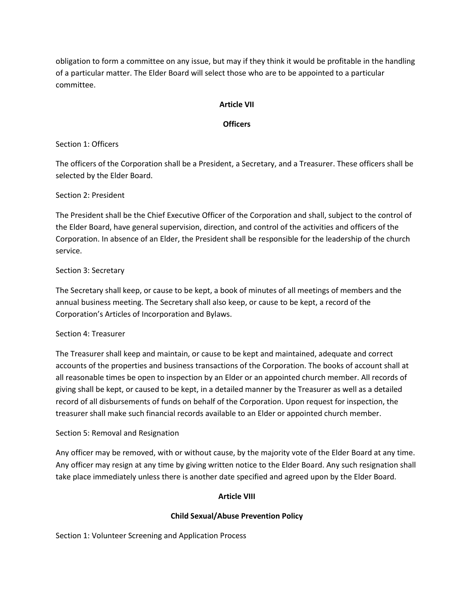obligation to form a committee on any issue, but may if they think it would be profitable in the handling of a particular matter. The Elder Board will select those who are to be appointed to a particular committee.

#### **Article VII**

#### **Officers**

#### Section 1: Officers

The officers of the Corporation shall be a President, a Secretary, and a Treasurer. These officers shall be selected by the Elder Board.

### Section 2: President

The President shall be the Chief Executive Officer of the Corporation and shall, subject to the control of the Elder Board, have general supervision, direction, and control of the activities and officers of the Corporation. In absence of an Elder, the President shall be responsible for the leadership of the church service.

### Section 3: Secretary

The Secretary shall keep, or cause to be kept, a book of minutes of all meetings of members and the annual business meeting. The Secretary shall also keep, or cause to be kept, a record of the Corporation's Articles of Incorporation and Bylaws.

#### Section 4: Treasurer

The Treasurer shall keep and maintain, or cause to be kept and maintained, adequate and correct accounts of the properties and business transactions of the Corporation. The books of account shall at all reasonable times be open to inspection by an Elder or an appointed church member. All records of giving shall be kept, or caused to be kept, in a detailed manner by the Treasurer as well as a detailed record of all disbursements of funds on behalf of the Corporation. Upon request for inspection, the treasurer shall make such financial records available to an Elder or appointed church member.

# Section 5: Removal and Resignation

Any officer may be removed, with or without cause, by the majority vote of the Elder Board at any time. Any officer may resign at any time by giving written notice to the Elder Board. Any such resignation shall take place immediately unless there is another date specified and agreed upon by the Elder Board.

# **Article VIII**

#### **Child Sexual/Abuse Prevention Policy**

Section 1: Volunteer Screening and Application Process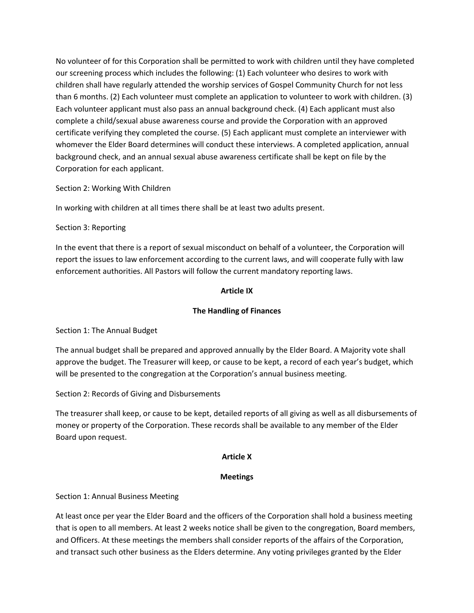No volunteer of for this Corporation shall be permitted to work with children until they have completed our screening process which includes the following: (1) Each volunteer who desires to work with children shall have regularly attended the worship services of Gospel Community Church for not less than 6 months. (2) Each volunteer must complete an application to volunteer to work with children. (3) Each volunteer applicant must also pass an annual background check. (4) Each applicant must also complete a child/sexual abuse awareness course and provide the Corporation with an approved certificate verifying they completed the course. (5) Each applicant must complete an interviewer with whomever the Elder Board determines will conduct these interviews. A completed application, annual background check, and an annual sexual abuse awareness certificate shall be kept on file by the Corporation for each applicant.

Section 2: Working With Children

In working with children at all times there shall be at least two adults present.

Section 3: Reporting

In the event that there is a report of sexual misconduct on behalf of a volunteer, the Corporation will report the issues to law enforcement according to the current laws, and will cooperate fully with law enforcement authorities. All Pastors will follow the current mandatory reporting laws.

### **Article IX**

### **The Handling of Finances**

Section 1: The Annual Budget

The annual budget shall be prepared and approved annually by the Elder Board. A Majority vote shall approve the budget. The Treasurer will keep, or cause to be kept, a record of each year's budget, which will be presented to the congregation at the Corporation's annual business meeting.

Section 2: Records of Giving and Disbursements

The treasurer shall keep, or cause to be kept, detailed reports of all giving as well as all disbursements of money or property of the Corporation. These records shall be available to any member of the Elder Board upon request.

#### **Article X**

#### **Meetings**

Section 1: Annual Business Meeting

At least once per year the Elder Board and the officers of the Corporation shall hold a business meeting that is open to all members. At least 2 weeks notice shall be given to the congregation, Board members, and Officers. At these meetings the members shall consider reports of the affairs of the Corporation, and transact such other business as the Elders determine. Any voting privileges granted by the Elder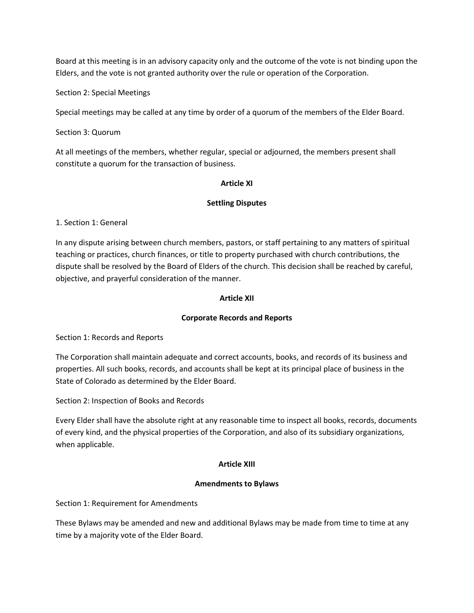Board at this meeting is in an advisory capacity only and the outcome of the vote is not binding upon the Elders, and the vote is not granted authority over the rule or operation of the Corporation.

Section 2: Special Meetings

Special meetings may be called at any time by order of a quorum of the members of the Elder Board.

Section 3: Quorum

At all meetings of the members, whether regular, special or adjourned, the members present shall constitute a quorum for the transaction of business.

### **Article XI**

### **Settling Disputes**

1. Section 1: General

In any dispute arising between church members, pastors, or staff pertaining to any matters of spiritual teaching or practices, church finances, or title to property purchased with church contributions, the dispute shall be resolved by the Board of Elders of the church. This decision shall be reached by careful, objective, and prayerful consideration of the manner.

### **Article XII**

# **Corporate Records and Reports**

Section 1: Records and Reports

The Corporation shall maintain adequate and correct accounts, books, and records of its business and properties. All such books, records, and accounts shall be kept at its principal place of business in the State of Colorado as determined by the Elder Board.

Section 2: Inspection of Books and Records

Every Elder shall have the absolute right at any reasonable time to inspect all books, records, documents of every kind, and the physical properties of the Corporation, and also of its subsidiary organizations, when applicable.

# **Article XIII**

# **Amendments to Bylaws**

Section 1: Requirement for Amendments

These Bylaws may be amended and new and additional Bylaws may be made from time to time at any time by a majority vote of the Elder Board.